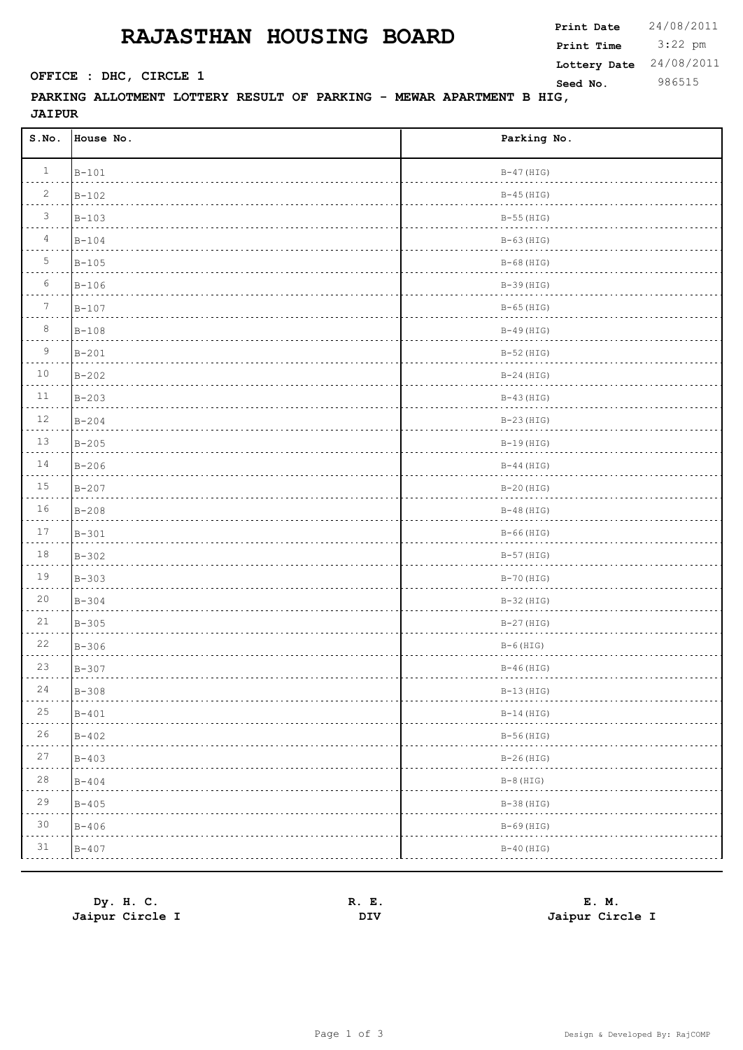## **RAJASTHAN HOUSING BOARD**

 3:22 pm **Print Date**  $24/08/2011$ **Print Time Seed No.** 986515 **OFFICE : DHC, CIRCLE 1 Lottery Date** 24/08/2011

**PARKING ALLOTMENT LOTTERY RESULT OF PARKING - MEWAR APARTMENT B HIG, JAIPUR**

| S.No.           | House No. | Parking No.  |
|-----------------|-----------|--------------|
| $\mathbf{1}$    | $B-101$   | $B-47$ (HIG) |
| $\overline{c}$  | $B - 102$ | $B-45$ (HIG) |
| $\mathcal{S}$   | $B-103$   | $B-55$ (HIG) |
| $\overline{4}$  | $B-104$   | $B-63$ (HIG) |
| 5               | $B-105$   | $B-68$ (HIG) |
| 6               | $B-106$   | $B-39$ (HIG) |
| $7\phantom{.0}$ | $B - 107$ | $B-65$ (HIG) |
| 8               | $B-108$   | $B-49$ (HIG) |
| $\overline{9}$  | $B-201$   | $B-52$ (HIG) |
| $10$            | $B-202$   | $B-24$ (HIG) |
| $11\,$          | $B-203$   | $B-43$ (HIG) |
| $12$            | $B - 204$ | $B-23(HIG)$  |
| 13              | $B-205$   | $B-19$ (HIG) |
| 14              | $B-206$   | $B-44$ (HIG) |
| $15\,$          | $B-207$   | $B-20(HIG)$  |
| $16$            | $B-208$   | $B-48$ (HIG) |
| $17\,$          | $B-301$   | $B-66$ (HIG) |
| $1\,8$          | $B-302$   | $B-57$ (HIG) |
| 19              | $B-303$   | $B-70$ (HIG) |
| $20\,$          | $B-304$   | $B-32$ (HIG) |
| $2\sqrt{1}$     | $B-305$   | $B-27$ (HIG) |
| 22              | $B-306$   | $B-6$ (HIG)  |
| 23              | $B-307$   | $B-46$ (HIG) |
| 24              | $B - 308$ | $B-13(HIG)$  |
| 25              | $B - 401$ | $B-14$ (HIG) |
| 26              | $B-402$   | $B-56$ (HIG) |
| 27              | $B-403$   | $B-26(HIG)$  |
| $2\,8$          | $B - 404$ | $B-8$ (HIG)  |
| 29              | $B - 405$ | $B-38$ (HIG) |
| 30              | $B - 406$ | $B-69$ (HIG) |
| 31              | $B - 407$ | $B-40$ (HIG) |

**Dy. H. C. R. E. E. M. Jaipur Circle I DIV Jaipur Circle I**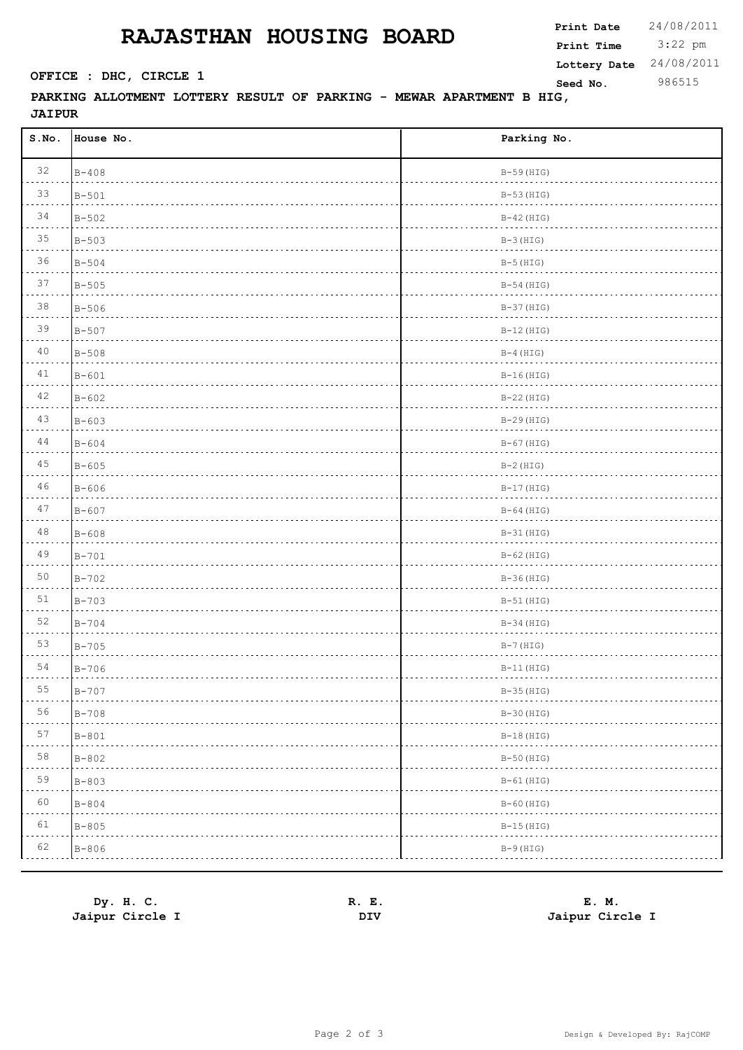## **RAJASTHAN HOUSING BOARD**

 3:22 pm **Print Date**  $24/08/2011$ **Print Time Seed No.** 986515 **OFFICE : DHC, CIRCLE 1 Lottery Date** 24/08/2011

## **PARKING ALLOTMENT LOTTERY RESULT OF PARKING - MEWAR APARTMENT B HIG, JAIPUR**

| S.NO.               | House No. | Parking No.  |
|---------------------|-----------|--------------|
| 32                  | $B - 408$ | $B-59$ (HIG) |
| 33                  | $B - 501$ | $B-53$ (HIG) |
| 34                  | $B - 502$ | $B-42$ (HIG) |
| 35                  | $B - 503$ | $B-3$ (HIG)  |
| 36                  | $B - 504$ | $B-5$ (HIG)  |
| 37                  | $B - 505$ | $B-54$ (HIG) |
| 38                  | $B - 506$ | $B-37$ (HIG) |
| 39                  | $B - 507$ | $B-12$ (HIG) |
| 40                  | $B - 508$ | $B-4$ (HIG)  |
| 41                  | $B - 601$ | $B-16$ (HIG) |
| 42                  | $B - 602$ | $B-22(HIG)$  |
| 43                  | $B - 603$ | $B-29(HIG)$  |
| 44                  | $B - 604$ | $B-67$ (HIG) |
| 45                  | $B - 605$ | $B-2$ (HIG)  |
| 46                  | $B - 606$ | $B-17$ (HIG) |
| 47                  | $B - 607$ | $B-64$ (HIG) |
| $4\,8$              | $B - 608$ | $B-31$ (HIG) |
| 49                  | $B - 701$ | $B-62$ (HIG) |
| 50                  | $B - 702$ | $B-36(HIG)$  |
| 51                  | $B - 703$ | $B-51$ (HIG) |
| 52                  | $B - 704$ | $B-34$ (HIG) |
| 53                  | $B - 705$ | $B-7$ (HIG)  |
| 54                  | $B - 706$ | $B-11$ (HIG) |
| 55<br>$- - - - - -$ | $B - 707$ | $B-35(HIG)$  |
| 56                  | $B - 708$ | $B-30$ (HIG) |
| $5\,7$<br>.         | $B - 801$ | $B-18$ (HIG) |
| 58                  | $B - 802$ | $B-50$ (HIG) |
| 59<br>.             | $B - 803$ | $B-61$ (HIG) |
| 60                  | $B - 804$ | $B-60$ (HIG) |
| 61                  | $B - 805$ | $B-15$ (HIG) |
| 62                  | $B - 806$ | $B-9$ (HIG)  |

**Dy. H. C. R. E. E. M. Jaipur Circle I DIV Jaipur Circle I**